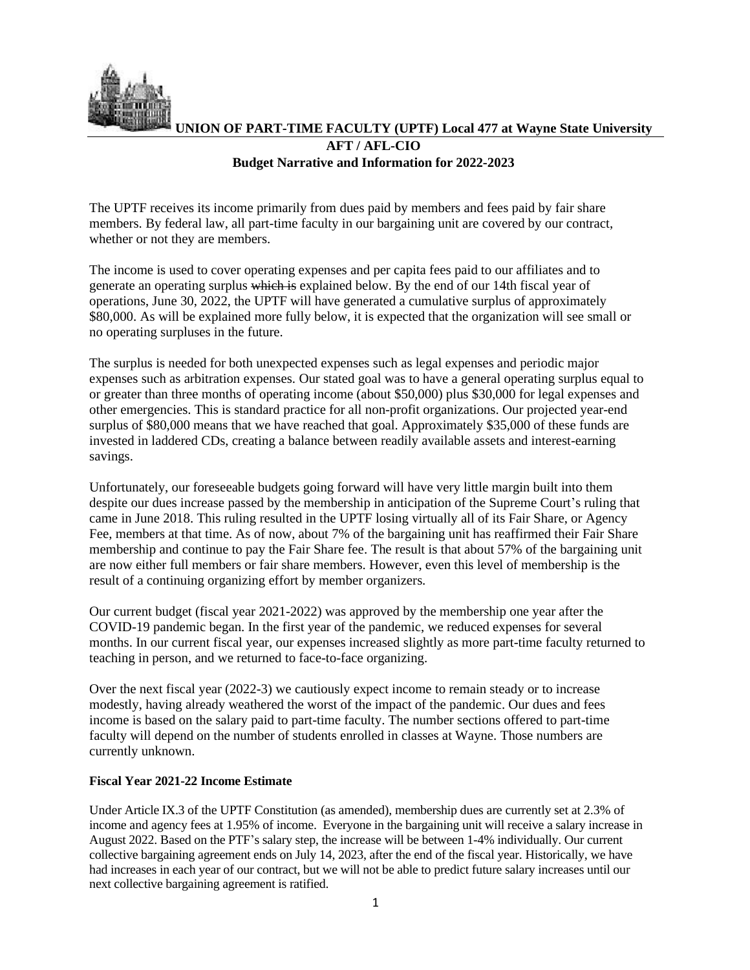

## **UNION OF PART-TIME FACULTY (UPTF) Local 477 at Wayne State University AFT / AFL-CIO Budget Narrative and Information for 2022-2023**

The UPTF receives its income primarily from dues paid by members and fees paid by fair share members. By federal law, all part-time faculty in our bargaining unit are covered by our contract, whether or not they are members.

The income is used to cover operating expenses and per capita fees paid to our affiliates and to generate an operating surplus which is explained below. By the end of our 14th fiscal year of operations, June 30, 2022, the UPTF will have generated a cumulative surplus of approximately \$80,000. As will be explained more fully below, it is expected that the organization will see small or no operating surpluses in the future.

The surplus is needed for both unexpected expenses such as legal expenses and periodic major expenses such as arbitration expenses. Our stated goal was to have a general operating surplus equal to or greater than three months of operating income (about \$50,000) plus \$30,000 for legal expenses and other emergencies. This is standard practice for all non-profit organizations. Our projected year-end surplus of \$80,000 means that we have reached that goal. Approximately \$35,000 of these funds are invested in laddered CDs, creating a balance between readily available assets and interest-earning savings.

Unfortunately, our foreseeable budgets going forward will have very little margin built into them despite our dues increase passed by the membership in anticipation of the Supreme Court's ruling that came in June 2018. This ruling resulted in the UPTF losing virtually all of its Fair Share, or Agency Fee, members at that time. As of now, about 7% of the bargaining unit has reaffirmed their Fair Share membership and continue to pay the Fair Share fee. The result is that about 57% of the bargaining unit are now either full members or fair share members. However, even this level of membership is the result of a continuing organizing effort by member organizers.

Our current budget (fiscal year 2021-2022) was approved by the membership one year after the COVID-19 pandemic began. In the first year of the pandemic, we reduced expenses for several months. In our current fiscal year, our expenses increased slightly as more part-time faculty returned to teaching in person, and we returned to face-to-face organizing.

Over the next fiscal year (2022-3) we cautiously expect income to remain steady or to increase modestly, having already weathered the worst of the impact of the pandemic. Our dues and fees income is based on the salary paid to part-time faculty. The number sections offered to part-time faculty will depend on the number of students enrolled in classes at Wayne. Those numbers are currently unknown.

## **Fiscal Year 2021-22 Income Estimate**

Under Article IX.3 of the UPTF Constitution (as amended), membership dues are currently set at 2.3% of income and agency fees at 1.95% of income. Everyone in the bargaining unit will receive a salary increase in August 2022. Based on the PTF's salary step, the increase will be between 1-4% individually. Our current collective bargaining agreement ends on July 14, 2023, after the end of the fiscal year. Historically, we have had increases in each year of our contract, but we will not be able to predict future salary increases until our next collective bargaining agreement is ratified.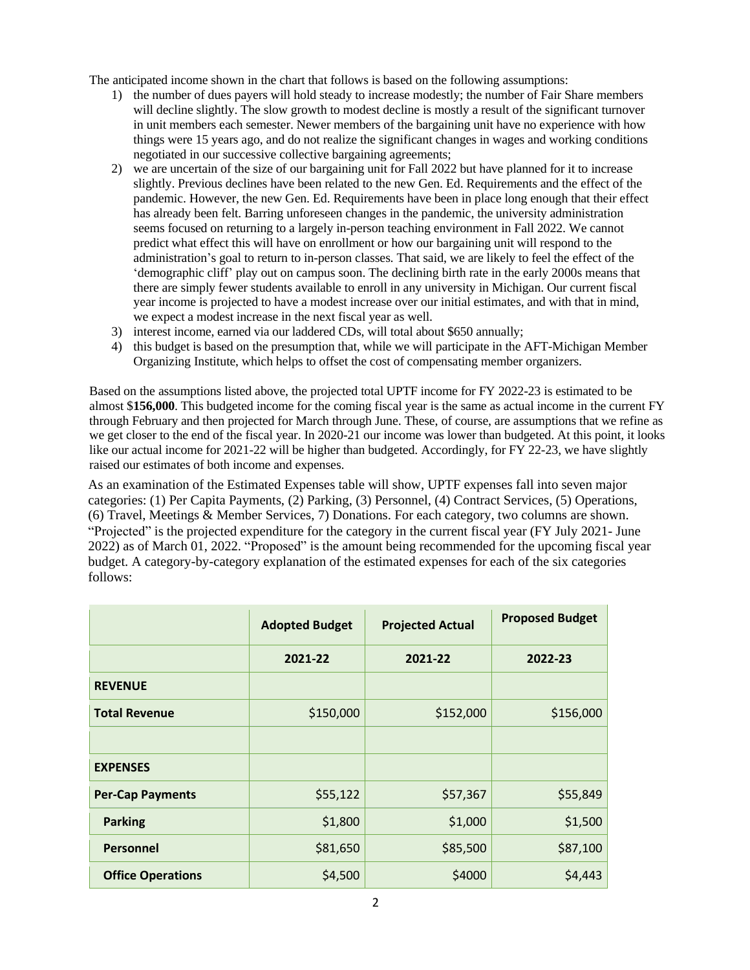The anticipated income shown in the chart that follows is based on the following assumptions:

- 1) the number of dues payers will hold steady to increase modestly; the number of Fair Share members will decline slightly. The slow growth to modest decline is mostly a result of the significant turnover in unit members each semester. Newer members of the bargaining unit have no experience with how things were 15 years ago, and do not realize the significant changes in wages and working conditions negotiated in our successive collective bargaining agreements;
- 2) we are uncertain of the size of our bargaining unit for Fall 2022 but have planned for it to increase slightly. Previous declines have been related to the new Gen. Ed. Requirements and the effect of the pandemic. However, the new Gen. Ed. Requirements have been in place long enough that their effect has already been felt. Barring unforeseen changes in the pandemic, the university administration seems focused on returning to a largely in-person teaching environment in Fall 2022. We cannot predict what effect this will have on enrollment or how our bargaining unit will respond to the administration's goal to return to in-person classes. That said, we are likely to feel the effect of the 'demographic cliff' play out on campus soon. The declining birth rate in the early 2000s means that there are simply fewer students available to enroll in any university in Michigan. Our current fiscal year income is projected to have a modest increase over our initial estimates, and with that in mind, we expect a modest increase in the next fiscal year as well.
- 3) interest income, earned via our laddered CDs, will total about \$650 annually;
- 4) this budget is based on the presumption that, while we will participate in the AFT-Michigan Member Organizing Institute, which helps to offset the cost of compensating member organizers.

Based on the assumptions listed above, the projected total UPTF income for FY 2022-23 is estimated to be almost \$**156,000**. This budgeted income for the coming fiscal year is the same as actual income in the current FY through February and then projected for March through June. These, of course, are assumptions that we refine as we get closer to the end of the fiscal year. In 2020-21 our income was lower than budgeted. At this point, it looks like our actual income for 2021-22 will be higher than budgeted. Accordingly, for FY 22-23, we have slightly raised our estimates of both income and expenses.

As an examination of the Estimated Expenses table will show, UPTF expenses fall into seven major categories: (1) Per Capita Payments, (2) Parking, (3) Personnel, (4) Contract Services, (5) Operations, (6) Travel, Meetings & Member Services, 7) Donations. For each category, two columns are shown. "Projected" is the projected expenditure for the category in the current fiscal year (FY July 2021- June 2022) as of March 01, 2022. "Proposed" is the amount being recommended for the upcoming fiscal year budget. A category-by-category explanation of the estimated expenses for each of the six categories follows:

|                          | <b>Adopted Budget</b> | <b>Projected Actual</b> | <b>Proposed Budget</b> |
|--------------------------|-----------------------|-------------------------|------------------------|
|                          | 2021-22               | 2021-22                 | 2022-23                |
| <b>REVENUE</b>           |                       |                         |                        |
| <b>Total Revenue</b>     | \$150,000             | \$152,000               | \$156,000              |
|                          |                       |                         |                        |
| <b>EXPENSES</b>          |                       |                         |                        |
| <b>Per-Cap Payments</b>  | \$55,122              | \$57,367                | \$55,849               |
| <b>Parking</b>           | \$1,800               | \$1,000                 | \$1,500                |
| <b>Personnel</b>         | \$81,650              | \$85,500                | \$87,100               |
| <b>Office Operations</b> | \$4,500               | \$4000                  | \$4,443                |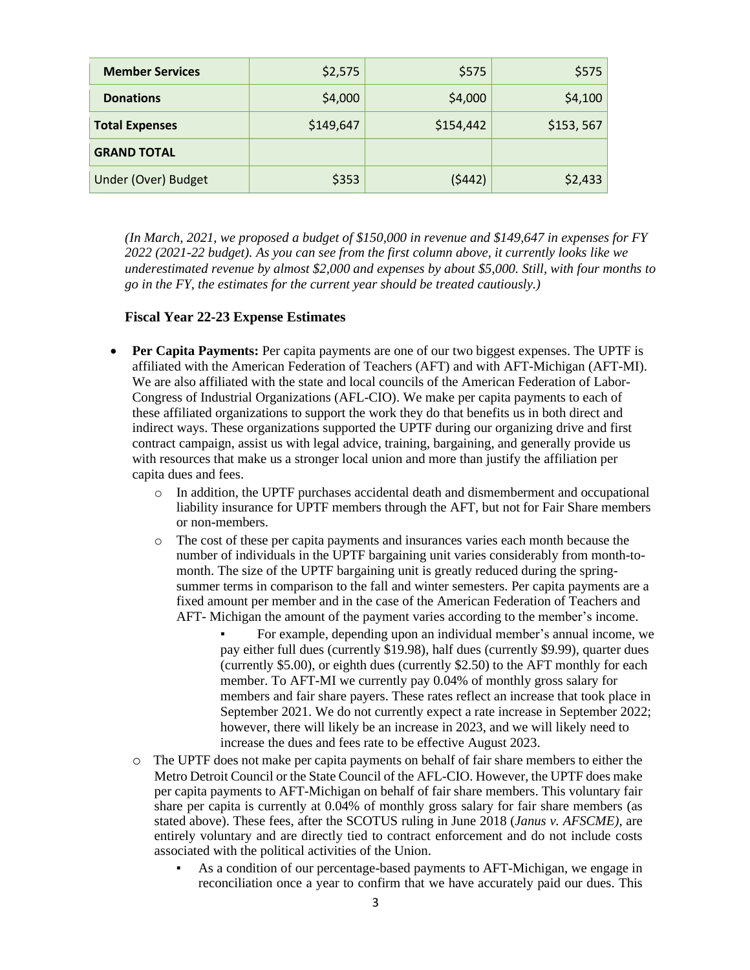| <b>Member Services</b> | \$2,575   | \$575     | \$575      |
|------------------------|-----------|-----------|------------|
| <b>Donations</b>       | \$4,000   | \$4,000   | \$4,100    |
| <b>Total Expenses</b>  | \$149,647 | \$154,442 | \$153, 567 |
| <b>GRAND TOTAL</b>     |           |           |            |
| Under (Over) Budget    | \$353     | (5442)    | \$2,433    |

*(In March, 2021, we proposed a budget of \$150,000 in revenue and \$149,647 in expenses for FY 2022 (2021-22 budget). As you can see from the first column above, it currently looks like we underestimated revenue by almost \$2,000 and expenses by about \$5,000. Still, with four months to go in the FY, the estimates for the current year should be treated cautiously.)*

## **Fiscal Year 22-23 Expense Estimates**

- **Per Capita Payments:** Per capita payments are one of our two biggest expenses. The UPTF is affiliated with the American Federation of Teachers (AFT) and with AFT-Michigan (AFT-MI). We are also affiliated with the state and local councils of the American Federation of Labor-Congress of Industrial Organizations (AFL-CIO). We make per capita payments to each of these affiliated organizations to support the work they do that benefits us in both direct and indirect ways. These organizations supported the UPTF during our organizing drive and first contract campaign, assist us with legal advice, training, bargaining, and generally provide us with resources that make us a stronger local union and more than justify the affiliation per capita dues and fees.
	- o In addition, the UPTF purchases accidental death and dismemberment and occupational liability insurance for UPTF members through the AFT, but not for Fair Share members or non-members.
	- o The cost of these per capita payments and insurances varies each month because the number of individuals in the UPTF bargaining unit varies considerably from month-tomonth. The size of the UPTF bargaining unit is greatly reduced during the springsummer terms in comparison to the fall and winter semesters. Per capita payments are a fixed amount per member and in the case of the American Federation of Teachers and AFT- Michigan the amount of the payment varies according to the member's income.
		- For example, depending upon an individual member's annual income, we pay either full dues (currently \$19.98), half dues (currently \$9.99), quarter dues (currently \$5.00), or eighth dues (currently \$2.50) to the AFT monthly for each member. To AFT-MI we currently pay 0.04% of monthly gross salary for members and fair share payers. These rates reflect an increase that took place in September 2021. We do not currently expect a rate increase in September 2022; however, there will likely be an increase in 2023, and we will likely need to increase the dues and fees rate to be effective August 2023.
	- o The UPTF does not make per capita payments on behalf of fair share members to either the Metro Detroit Council or the State Council of the AFL-CIO. However, the UPTF does make per capita payments to AFT-Michigan on behalf of fair share members. This voluntary fair share per capita is currently at 0.04% of monthly gross salary for fair share members (as stated above). These fees, after the SCOTUS ruling in June 2018 (*Janus v. AFSCME),* are entirely voluntary and are directly tied to contract enforcement and do not include costs associated with the political activities of the Union.
		- As a condition of our percentage-based payments to AFT-Michigan, we engage in reconciliation once a year to confirm that we have accurately paid our dues. This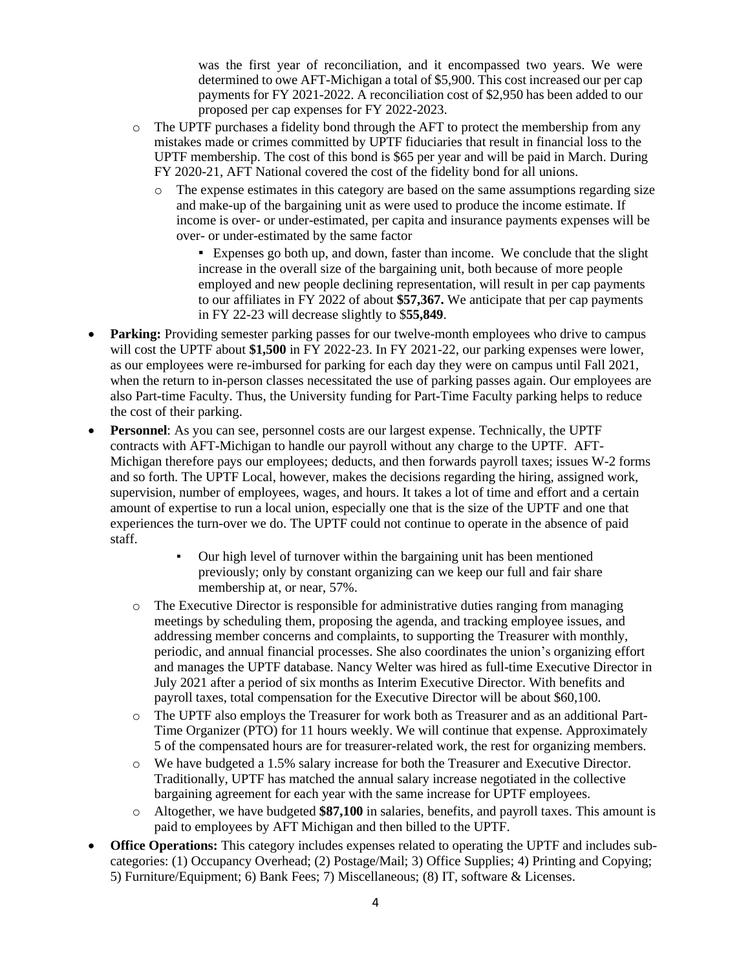was the first year of reconciliation, and it encompassed two years. We were determined to owe AFT-Michigan a total of \$5,900. This cost increased our per cap payments for FY 2021-2022. A reconciliation cost of \$2,950 has been added to our proposed per cap expenses for FY 2022-2023.

- o The UPTF purchases a fidelity bond through the AFT to protect the membership from any mistakes made or crimes committed by UPTF fiduciaries that result in financial loss to the UPTF membership. The cost of this bond is \$65 per year and will be paid in March. During FY 2020-21, AFT National covered the cost of the fidelity bond for all unions.
	- o The expense estimates in this category are based on the same assumptions regarding size and make-up of the bargaining unit as were used to produce the income estimate. If income is over- or under-estimated, per capita and insurance payments expenses will be over- or under-estimated by the same factor

▪ Expenses go both up, and down, faster than income. We conclude that the slight increase in the overall size of the bargaining unit, both because of more people employed and new people declining representation, will result in per cap payments to our affiliates in FY 2022 of about **\$57,367.** We anticipate that per cap payments in FY 22-23 will decrease slightly to \$**55,849**.

- **Parking:** Providing semester parking passes for our twelve-month employees who drive to campus will cost the UPTF about **\$1,500** in FY 2022-23. In FY 2021-22, our parking expenses were lower, as our employees were re-imbursed for parking for each day they were on campus until Fall 2021, when the return to in-person classes necessitated the use of parking passes again. Our employees are also Part-time Faculty. Thus, the University funding for Part-Time Faculty parking helps to reduce the cost of their parking.
- **Personnel**: As you can see, personnel costs are our largest expense. Technically, the UPTF contracts with AFT-Michigan to handle our payroll without any charge to the UPTF. AFT-Michigan therefore pays our employees; deducts, and then forwards payroll taxes; issues W-2 forms and so forth. The UPTF Local, however, makes the decisions regarding the hiring, assigned work, supervision, number of employees, wages, and hours. It takes a lot of time and effort and a certain amount of expertise to run a local union, especially one that is the size of the UPTF and one that experiences the turn-over we do. The UPTF could not continue to operate in the absence of paid staff.
	- Our high level of turnover within the bargaining unit has been mentioned previously; only by constant organizing can we keep our full and fair share membership at, or near, 57%.
	- o The Executive Director is responsible for administrative duties ranging from managing meetings by scheduling them, proposing the agenda, and tracking employee issues, and addressing member concerns and complaints, to supporting the Treasurer with monthly, periodic, and annual financial processes. She also coordinates the union's organizing effort and manages the UPTF database. Nancy Welter was hired as full-time Executive Director in July 2021 after a period of six months as Interim Executive Director. With benefits and payroll taxes, total compensation for the Executive Director will be about \$60,100.
	- o The UPTF also employs the Treasurer for work both as Treasurer and as an additional Part-Time Organizer (PTO) for 11 hours weekly. We will continue that expense. Approximately 5 of the compensated hours are for treasurer-related work, the rest for organizing members.
	- o We have budgeted a 1.5% salary increase for both the Treasurer and Executive Director. Traditionally, UPTF has matched the annual salary increase negotiated in the collective bargaining agreement for each year with the same increase for UPTF employees.
	- o Altogether, we have budgeted **\$87,100** in salaries, benefits, and payroll taxes. This amount is paid to employees by AFT Michigan and then billed to the UPTF.
- **Office Operations:** This category includes expenses related to operating the UPTF and includes subcategories: (1) Occupancy Overhead; (2) Postage/Mail; 3) Office Supplies; 4) Printing and Copying; 5) Furniture/Equipment; 6) Bank Fees; 7) Miscellaneous; (8) IT, software & Licenses.